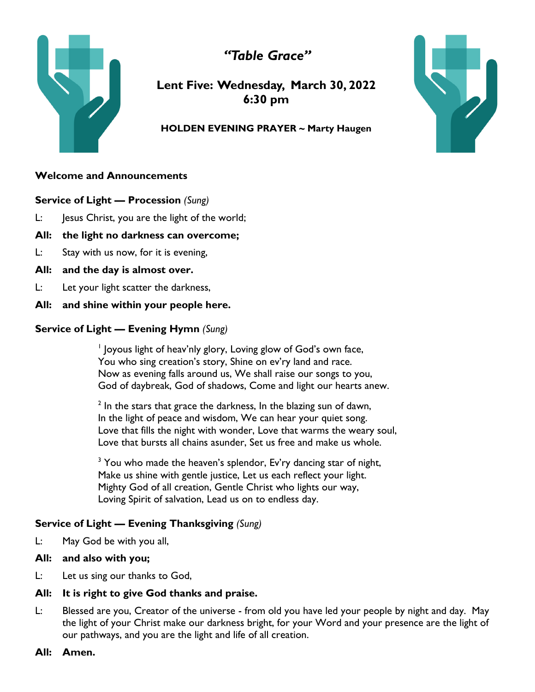*"Table Grace"*



**Lent Five: Wednesday, March 30, 2022 6:30 pm**

## **HOLDEN EVENING PRAYER ~ Marty Haugen**

# **Welcome and Announcements**

**Service of Light — Procession** *(Sung)*

- L: Jesus Christ, you are the light of the world;
- **All: the light no darkness can overcome;**
- L: Stay with us now, for it is evening,
- **All: and the day is almost over.**
- L: Let your light scatter the darkness,
- **All: and shine within your people here.**

# **Service of Light — Evening Hymn** *(Sung)*

<sup>1</sup> Joyous light of heav'nly glory, Loving glow of God's own face, You who sing creation's story, Shine on ev'ry land and race. Now as evening falls around us, We shall raise our songs to you, God of daybreak, God of shadows, Come and light our hearts anew.

 $2$  In the stars that grace the darkness, In the blazing sun of dawn, In the light of peace and wisdom, We can hear your quiet song. Love that fills the night with wonder, Love that warms the weary soul, Love that bursts all chains asunder, Set us free and make us whole.

 $3$  You who made the heaven's splendor, Ev'ry dancing star of night, Make us shine with gentle justice, Let us each reflect your light. Mighty God of all creation, Gentle Christ who lights our way, Loving Spirit of salvation, Lead us on to endless day.

# **Service of Light — Evening Thanksgiving** *(Sung)*

L: May God be with you all,

# **All: and also with you;**

L: Let us sing our thanks to God,

# **All: It is right to give God thanks and praise.**

- L: Blessed are you, Creator of the universe from old you have led your people by night and day. May the light of your Christ make our darkness bright, for your Word and your presence are the light of our pathways, and you are the light and life of all creation.
- **All: Amen.**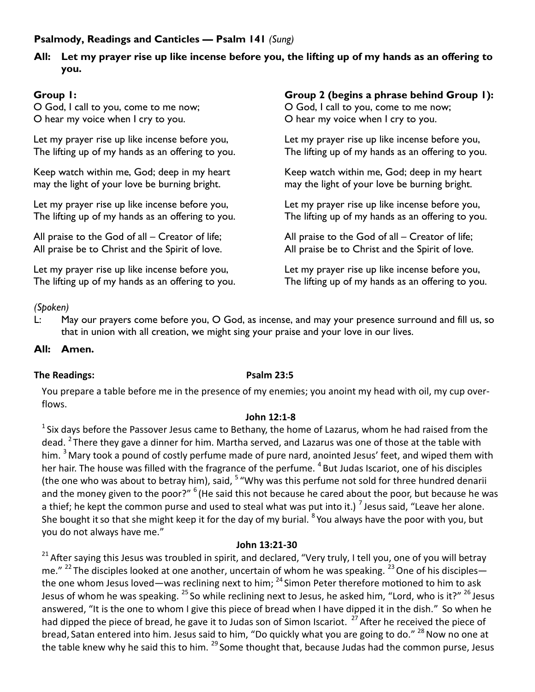# **Psalmody, Readings and Canticles — Psalm 141** *(Sung)*

# **All: Let my prayer rise up like incense before you, the lifting up of my hands as an offering to you.**

# **Group 1:**

O God, I call to you, come to me now; O hear my voice when I cry to you.

Let my prayer rise up like incense before you, The lifting up of my hands as an offering to you.

Keep watch within me, God; deep in my heart may the light of your love be burning bright.

Let my prayer rise up like incense before you, The lifting up of my hands as an offering to you.

All praise to the God of all – Creator of life; All praise be to Christ and the Spirit of love.

Let my prayer rise up like incense before you, The lifting up of my hands as an offering to you.

# **Group 2 (begins a phrase behind Group 1):**

O God, I call to you, come to me now; O hear my voice when I cry to you.

Let my prayer rise up like incense before you, The lifting up of my hands as an offering to you.

Keep watch within me, God; deep in my heart may the light of your love be burning bright.

Let my prayer rise up like incense before you, The lifting up of my hands as an offering to you.

All praise to the God of all – Creator of life; All praise be to Christ and the Spirit of love.

Let my prayer rise up like incense before you, The lifting up of my hands as an offering to you.

# *(Spoken)*

L: May our prayers come before you, O God, as incense, and may your presence surround and fill us, so that in union with all creation, we might sing your praise and your love in our lives.

## **All: Amen.**

# **The Readings: Psalm 23:5**

You prepare a table before me in the presence of my enemies; you anoint my head with oil, my cup overflows.

#### **John 12:1-8**

 $1$  Six days before the Passover Jesus came to Bethany, the home of Lazarus, whom he had raised from the dead. <sup>2</sup> There they gave a dinner for him. Martha served, and Lazarus was one of those at the table with him. <sup>3</sup> Mary took a pound of costly perfume made of pure nard, anointed Jesus' feet, and wiped them with her hair. The house was filled with the fragrance of the perfume. <sup>4</sup> But Judas Iscariot, one of his disciples (the one who was about to betray him), said, <sup>5</sup> "Why was this perfume not sold for three hundred denarii and the money given to the poor?" <sup>6</sup> (He said this not because he cared about the poor, but because he was a thief; he kept the common purse and used to steal what was put into it.) <sup>7</sup> Jesus said, "Leave her alone. She bought it so that she might keep it for the day of my burial. <sup>8</sup> You always have the poor with you, but you do not always have me."

# **John 13:21-30**

 $21$  After saying this Jesus was troubled in spirit, and declared, "Very truly, I tell you, one of you will betray me."  $^{22}$  The disciples looked at one another, uncertain of whom he was speaking.  $^{23}$  One of his disciples the one whom Jesus loved—was reclining next to him;  $^{24}$  Simon Peter therefore motioned to him to ask Jesus of whom he was speaking. <sup>25</sup> So while reclining next to Jesus, he asked him, "Lord, who is it?" <sup>26</sup> Jesus answered, "It is the one to whom I give this piece of bread when I have dipped it in the dish." So when he had dipped the piece of bread, he gave it to Judas son of Simon Iscariot. <sup>27</sup> After he received the piece of bread, Satan entered into him. Jesus said to him, "Do quickly what you are going to do."  $^{28}$  Now no one at the table knew why he said this to him.  $^{29}$  Some thought that, because Judas had the common purse, Jesus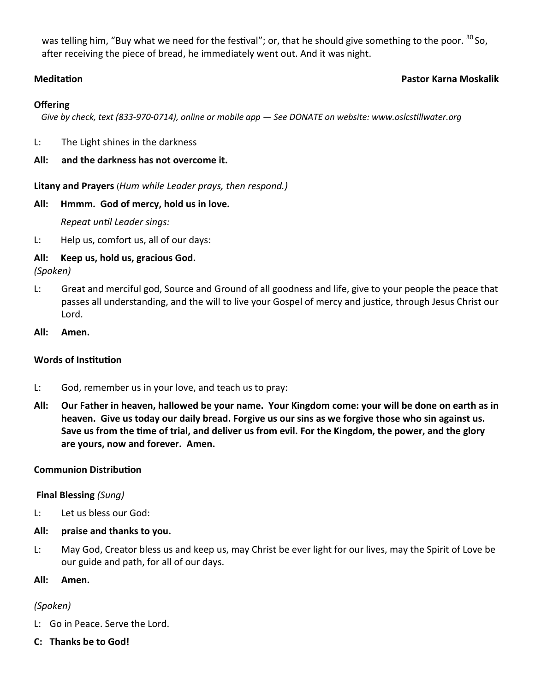was telling him, "Buy what we need for the festival"; or, that he should give something to the poor. <sup>30</sup> So, after receiving the piece of bread, he immediately went out. And it was night.

### **Meditation Pastor Karna Moskalik**

### **Offering**

 *Give by check, text (833-970-0714), online or mobile app — See DONATE on website: www.oslcstillwater.org*

- L: The Light shines in the darkness
- **All: and the darkness has not overcome it.**

**Litany and Prayers** (*Hum while Leader prays, then respond.)*

### **All: Hmmm. God of mercy, hold us in love.**

*Repeat until Leader sings:*

L: Help us, comfort us, all of our days:

# **All: Keep us, hold us, gracious God.**

*(Spoken)*

- L: Great and merciful god, Source and Ground of all goodness and life, give to your people the peace that passes all understanding, and the will to live your Gospel of mercy and justice, through Jesus Christ our Lord.
- **All: Amen.**

# **Words of Institution**

- L: God, remember us in your love, and teach us to pray:
- **All: Our Father in heaven, hallowed be your name. Your Kingdom come: your will be done on earth as in heaven. Give us today our daily bread. Forgive us our sins as we forgive those who sin against us. Save us from the time of trial, and deliver us from evil. For the Kingdom, the power, and the glory are yours, now and forever. Amen.**

# **Communion Distribution**

#### **Final Blessing** *(Sung)*

- L: Let us bless our God:
- **All: praise and thanks to you.**
- L: May God, Creator bless us and keep us, may Christ be ever light for our lives, may the Spirit of Love be our guide and path, for all of our days.

#### **All: Amen.**

# *(Spoken)*

- L: Go in Peace. Serve the Lord.
- **C: Thanks be to God!**